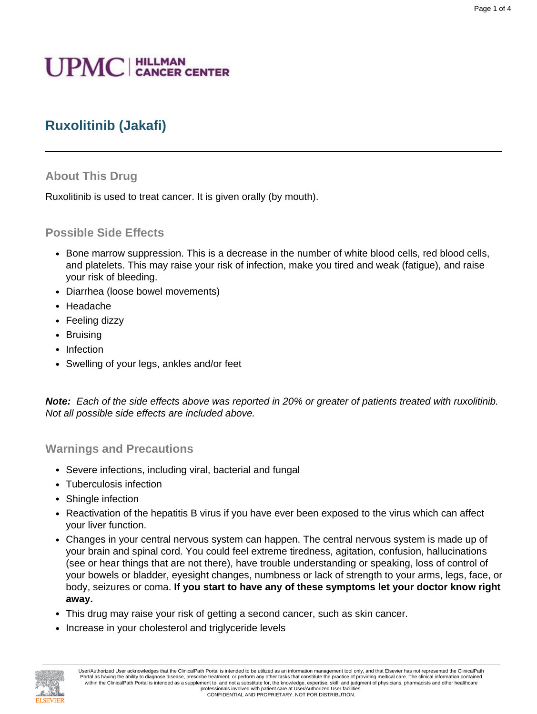# **UPMC** | HILLMAN

# **Ruxolitinib (Jakafi)**

#### **About This Drug**

Ruxolitinib is used to treat cancer. It is given orally (by mouth).

#### **Possible Side Effects**

- Bone marrow suppression. This is a decrease in the number of white blood cells, red blood cells, and platelets. This may raise your risk of infection, make you tired and weak (fatigue), and raise your risk of bleeding.
- Diarrhea (loose bowel movements)
- Headache
- Feeling dizzy
- Bruising
- Infection
- Swelling of your legs, ankles and/or feet

**Note:** Each of the side effects above was reported in 20% or greater of patients treated with ruxolitinib. Not all possible side effects are included above.

#### **Warnings and Precautions**

- Severe infections, including viral, bacterial and fungal
- Tuberculosis infection
- Shingle infection
- Reactivation of the hepatitis B virus if you have ever been exposed to the virus which can affect your liver function.
- Changes in your central nervous system can happen. The central nervous system is made up of your brain and spinal cord. You could feel extreme tiredness, agitation, confusion, hallucinations (see or hear things that are not there), have trouble understanding or speaking, loss of control of your bowels or bladder, eyesight changes, numbness or lack of strength to your arms, legs, face, or body, seizures or coma. **If you start to have any of these symptoms let your doctor know right away.**
- This drug may raise your risk of getting a second cancer, such as skin cancer.
- Increase in your cholesterol and triglyceride levels



User/Authorized User acknowledges that the ClinicalPath Portal is intended to be utilized as an information management tool only, and that Elsevier has not represented the ClinicalPath Portal as having the ability to diagnose disease, prescribe treatment, or perform any other tasks that constitute the practice of providing medical care. The clinical information contained within the ClinicalPath Portal is intended as a supplement to, and not a substitute for, the knowledge, expertise, skill, and judgment of physicians, pharmacists and other healthcare professionals involved with patient care at User/Authorized User facilities.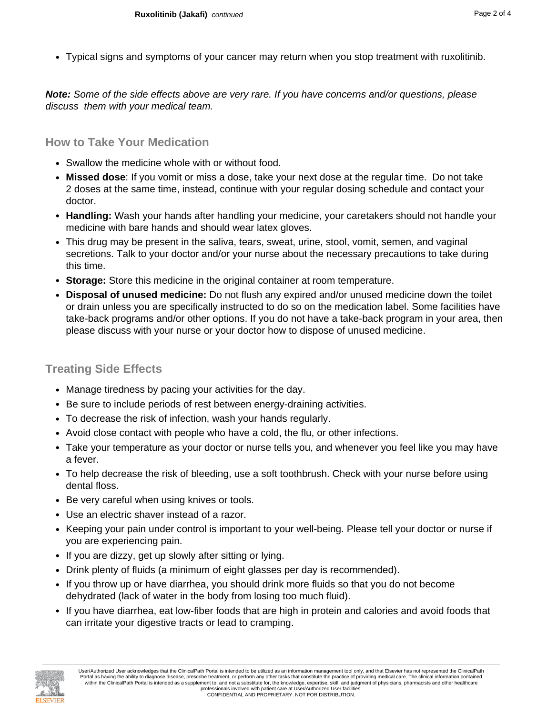• Typical signs and symptoms of your cancer may return when you stop treatment with ruxolitinib.

**Note:** Some of the side effects above are very rare. If you have concerns and/or questions, please discuss them with your medical team.

### **How to Take Your Medication**

- Swallow the medicine whole with or without food.
- **Missed dose**: If you vomit or miss a dose, take your next dose at the regular time. Do not take 2 doses at the same time, instead, continue with your regular dosing schedule and contact your doctor.
- **Handling:** Wash your hands after handling your medicine, your caretakers should not handle your medicine with bare hands and should wear latex gloves.
- This drug may be present in the saliva, tears, sweat, urine, stool, vomit, semen, and vaginal secretions. Talk to your doctor and/or your nurse about the necessary precautions to take during this time.
- **Storage:** Store this medicine in the original container at room temperature.
- **Disposal of unused medicine:** Do not flush any expired and/or unused medicine down the toilet or drain unless you are specifically instructed to do so on the medication label. Some facilities have take-back programs and/or other options. If you do not have a take-back program in your area, then please discuss with your nurse or your doctor how to dispose of unused medicine.

# **Treating Side Effects**

- Manage tiredness by pacing your activities for the day.
- Be sure to include periods of rest between energy-draining activities.
- To decrease the risk of infection, wash your hands regularly.
- Avoid close contact with people who have a cold, the flu, or other infections.
- Take your temperature as your doctor or nurse tells you, and whenever you feel like you may have a fever.
- To help decrease the risk of bleeding, use a soft toothbrush. Check with your nurse before using dental floss.
- Be very careful when using knives or tools.
- Use an electric shaver instead of a razor.
- Keeping your pain under control is important to your well-being. Please tell your doctor or nurse if you are experiencing pain.
- If you are dizzy, get up slowly after sitting or lying.
- Drink plenty of fluids (a minimum of eight glasses per day is recommended).
- If you throw up or have diarrhea, you should drink more fluids so that you do not become dehydrated (lack of water in the body from losing too much fluid).
- If you have diarrhea, eat low-fiber foods that are high in protein and calories and avoid foods that can irritate your digestive tracts or lead to cramping.

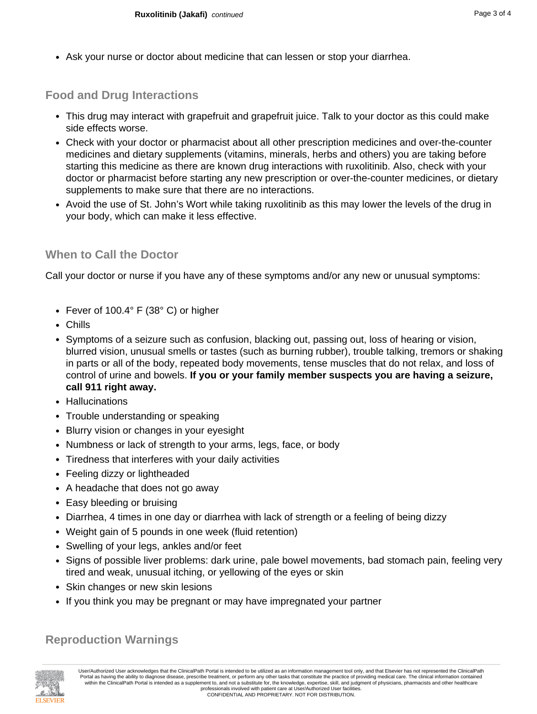• Ask your nurse or doctor about medicine that can lessen or stop your diarrhea.

# **Food and Drug Interactions**

- This drug may interact with grapefruit and grapefruit juice. Talk to your doctor as this could make side effects worse.
- Check with your doctor or pharmacist about all other prescription medicines and over-the-counter medicines and dietary supplements (vitamins, minerals, herbs and others) you are taking before starting this medicine as there are known drug interactions with ruxolitinib. Also, check with your doctor or pharmacist before starting any new prescription or over-the-counter medicines, or dietary supplements to make sure that there are no interactions.
- Avoid the use of St. John's Wort while taking ruxolitinib as this may lower the levels of the drug in your body, which can make it less effective.

## **When to Call the Doctor**

Call your doctor or nurse if you have any of these symptoms and/or any new or unusual symptoms:

- Fever of 100.4° F (38° C) or higher
- Chills
- Symptoms of a seizure such as confusion, blacking out, passing out, loss of hearing or vision, blurred vision, unusual smells or tastes (such as burning rubber), trouble talking, tremors or shaking in parts or all of the body, repeated body movements, tense muscles that do not relax, and loss of control of urine and bowels. **If you or your family member suspects you are having a seizure, call 911 right away.**
- Hallucinations
- Trouble understanding or speaking
- Blurry vision or changes in your eyesight
- Numbness or lack of strength to your arms, legs, face, or body
- Tiredness that interferes with your daily activities
- Feeling dizzy or lightheaded
- A headache that does not go away
- Easy bleeding or bruising
- Diarrhea, 4 times in one day or diarrhea with lack of strength or a feeling of being dizzy
- Weight gain of 5 pounds in one week (fluid retention)
- Swelling of your legs, ankles and/or feet
- Signs of possible liver problems: dark urine, pale bowel movements, bad stomach pain, feeling very tired and weak, unusual itching, or yellowing of the eyes or skin
- Skin changes or new skin lesions
- If you think you may be pregnant or may have impregnated your partner

#### **Reproduction Warnings**